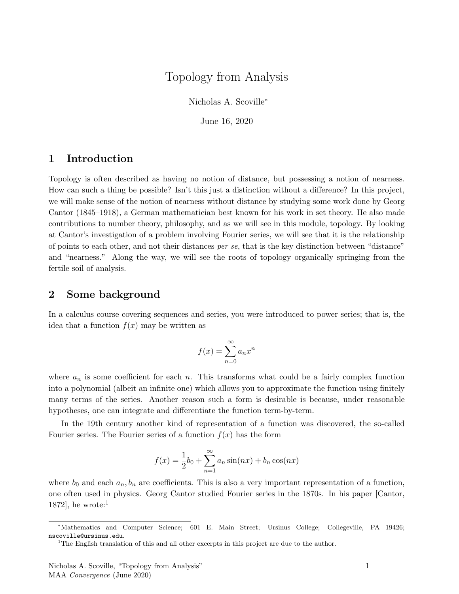# Topology from Analysis

Nicholas A. Scoville*<sup>∗</sup>*

June 16, 2020

## **1 Introduction**

Topology is often described as having no notion of distance, but possessing a notion of nearness. How can such a thing be possible? Isn't this just a distinction without a difference? In this project, we will make sense of the notion of nearness without distance by studying some work done by Georg Cantor (1845–1918), a German mathematician best known for his work in set theory. He also made contributions to number theory, philosophy, and as we will see in this module, topology. By looking at Cantor's investigation of a problem involving Fourier series, we will see that it is the relationship of points to each other, and not their distances *per se*, that is the key distinction between "distance" and "nearness." Along the way, we will see the roots of topology organically springing from the fertile soil of analysis.

## **2 Some background**

In a calculus course covering sequences and series, you were introduced to power series; that is, the idea that a function  $f(x)$  may be written as

$$
f(x) = \sum_{n=0}^{\infty} a_n x^n
$$

where  $a_n$  is some coefficient for each  $n$ . This transforms what could be a fairly complex function into a polynomial (albeit an infinite one) which allows you to approximate the function using finitely many terms of the series. Another reason such a form is desirable is because, under reasonable hypotheses, one can integrate and differentiate the function term-by-term.

In the 19th century another kind of representation of a function was discovered, the so-called Fourier series. The Fourier series of a function  $f(x)$  has the form

$$
f(x) = \frac{1}{2}b_0 + \sum_{n=1}^{\infty} a_n \sin(nx) + b_n \cos(nx)
$$

where  $b_0$  and each  $a_n, b_n$  are coefficients. This is also a very important representation of a function, one often used in physics. Georg Cantor studied Fourier series in the 1870s. In his paper [Cantor,  $1872$ , he wrote:<sup>1</sup>

*<sup>∗</sup>*Mathematics and Computer Science; 601 E. Main Street; Ursinus College; Collegeville, PA 19426; nscoville@ursinus.edu.

<sup>&</sup>lt;sup>1</sup>The English translation of this and all other excerpts in this project are due to the author.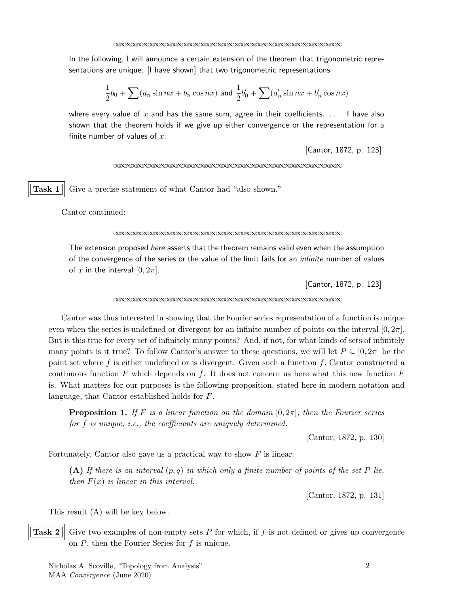In the following, I will announce a certain extension of the theorem that trigonometric representations are unique. [I have shown] that two trigonometric representations

$$
\frac{1}{2}b_0 + \sum (a_n \sin nx + b_n \cos nx) \text{ and } \frac{1}{2}b'_0 + \sum (a'_n \sin nx + b'_n \cos nx)
$$

where every value of x and has the same sum, agree in their coefficients. ... I have also shown that the theorem holds if we give up either convergence or the representation for a finite number of values of *x*.

[Cantor, 1872, p. 123]

#### *∞∞∞∞∞∞∞∞∞∞∞∞∞∞∞∞∞∞∞∞∞∞∞∞∞∞∞∞∞∞∞∞∞∞∞∞∞∞∞∞*

**Task 1** Give a precise statement of what Cantor had "also shown."

Cantor continued:

#### *∞∞∞∞∞∞∞∞∞∞∞∞∞∞∞∞∞∞∞∞∞∞∞∞∞∞∞∞∞∞∞∞∞∞∞∞∞∞∞∞*

The extension proposed *here* asserts that the theorem remains valid even when the assumption of the convergence of the series or the value of the limit fails for an *infinite* number of values of *x* in the interval  $[0, 2\pi]$ .

[Cantor, 1872, p. 123]

*∞∞∞∞∞∞∞∞∞∞∞∞∞∞∞∞∞∞∞∞∞∞∞∞∞∞∞∞∞∞∞∞∞∞∞∞∞∞∞∞*

Cantor was thus interested in showing that the Fourier series representation of a function is unique even when the series is undefined or divergent for an infinite number of points on the interval  $[0, 2\pi]$ . But is this true for every set of infinitely many points? And, if not, for what kinds of sets of infinitely many points is it true? To follow Cantor's answer to these questions, we will let  $P \subseteq [0, 2\pi]$  be the point set where *f* is either undefined or is divergent. Given such a function *f*, Cantor constructed a continuous function *F* which depends on *f*. It does not concern us here what this new function *F* is. What matters for our purposes is the following proposition, stated here in modern notation and language, that Cantor established holds for *F*.

**Proposition 1.** If F is a linear function on the domain  $[0, 2\pi]$ , then the Fourier series *for f is unique, i.e., the coefficients are uniquely determined.*

[Cantor, 1872, p. 130]

Fortunately, Cantor also gave us a practical way to show *F* is linear.

**(A)** *If there is an interval* (*p, q*) *in which only a finite number of points of the set P lie, then*  $F(x)$  *is linear in this interval.* 

[Cantor, 1872, p. 131]

This result (A) will be key below.

**Task 2** Give two examples of non-empty sets *P* for which, if f is not defined or gives up convergence on *P*, then the Fourier Series for *f* is unique.

Nicholas A. Scoville, "Topology from Analysis" MAA *Convergence* (June 2020)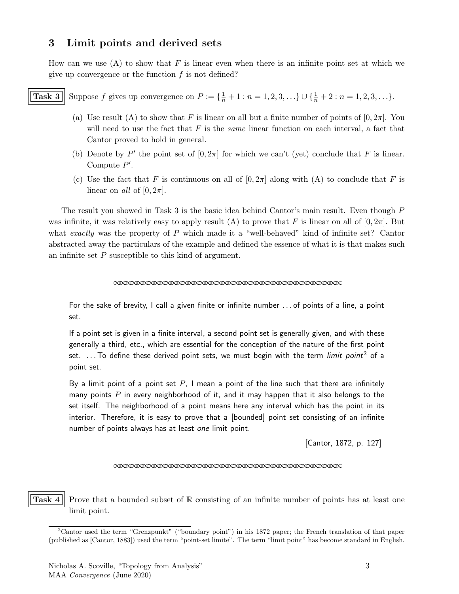## **3 Limit points and derived sets**

How can we use (A) to show that *F* is linear even when there is an infinite point set at which we give up convergence or the function *f* is not defined?

**Task 3** Suppose *f* gives up convergence on  $P := \{\frac{1}{n} + 1 : n = 1, 2, 3, ...\} \cup \{\frac{1}{n} + 2 : n = 1, 2, 3, ...\}.$ 

- (a) Use result (A) to show that *F* is linear on all but a finite number of points of  $[0, 2\pi]$ . You will need to use the fact that *F* is the *same* linear function on each interval, a fact that Cantor proved to hold in general.
- (b) Denote by P<sup>'</sup> the point set of  $[0, 2\pi]$  for which we can't (yet) conclude that F is linear. Compute *P ′* .
- (c) Use the fact that *F* is continuous on all of  $[0, 2\pi]$  along with (A) to conclude that *F* is linear on *all* of  $[0, 2\pi]$ .

The result you showed in Task 3 is the basic idea behind Cantor's main result. Even though *P* was infinite, it was relatively easy to apply result (A) to prove that *F* is linear on all of  $[0, 2\pi]$ . But what *exactly* was the property of *P* which made it a "well-behaved" kind of infinite set? Cantor abstracted away the particulars of the example and defined the essence of what it is that makes such an infinite set *P* susceptible to this kind of argument.

#### *∞∞∞∞∞∞∞∞∞∞∞∞∞∞∞∞∞∞∞∞∞∞∞∞∞∞∞∞∞∞∞∞∞∞∞∞∞∞∞∞*

For the sake of brevity, I call a given finite or infinite number . . . of points of a line, a point set.

If a point set is given in a finite interval, a second point set is generally given, and with these generally a third, etc., which are essential for the conception of the nature of the first point set. ... To define these derived point sets, we must begin with the term *limit point<sup>2</sup>* of a point set.

By a limit point of a point set *P*, I mean a point of the line such that there are infinitely many points *P* in every neighborhood of it, and it may happen that it also belongs to the set itself. The neighborhood of a point means here any interval which has the point in its interior. Therefore, it is easy to prove that a [bounded] point set consisting of an infinite number of points always has at least *one* limit point.

[Cantor, 1872, p. 127]

#### *∞∞∞∞∞∞∞∞∞∞∞∞∞∞∞∞∞∞∞∞∞∞∞∞∞∞∞∞∞∞∞∞∞∞∞∞∞∞∞∞*

**Task 4** Prove that a bounded subset of  $\mathbb R$  consisting of an infinite number of points has at least one limit point.

<sup>2</sup>Cantor used the term "Grenzpunkt" ("boundary point") in his 1872 paper; the French translation of that paper (published as [Cantor, 1883]) used the term "point-set limite". The term "limit point" has become standard in English.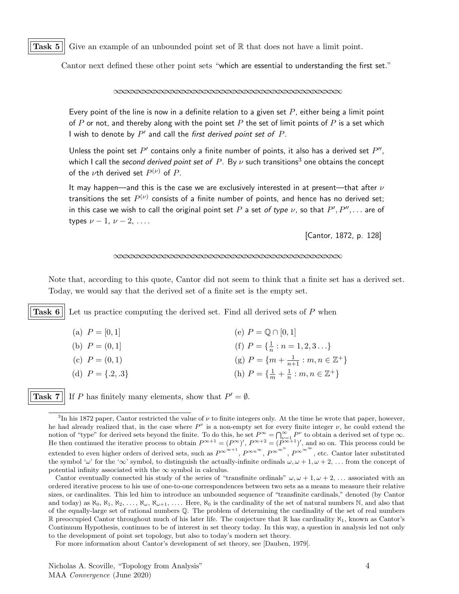**Task 5** Give an example of an unbounded point set of  $\mathbb{R}$  that does not have a limit point.

Cantor next defined these other point sets "which are essential to understanding the first set."

#### *∞∞∞∞∞∞∞∞∞∞∞∞∞∞∞∞∞∞∞∞∞∞∞∞∞∞∞∞∞∞∞∞∞∞∞∞∞∞∞∞*

Every point of the line is now in a definite relation to a given set *P*, either being a limit point of *P* or not, and thereby along with the point set *P* the set of limit points of *P* is a set which I wish to denote by *P ′* and call the *first derived point set of P*.

Unless the point set  $P'$  contains only a finite number of points, it also has a derived set  $P''$ , which I call the *second derived point set of P.* By  $\nu$  such transitions<sup>3</sup> one obtains the concept of the  $\nu$ th derived set  $P^{(\nu)}$  of  $P.$ 

It may happen—and this is the case we are exclusively interested in at present—that after *ν* transitions the set  $P^{(\nu)}$  consists of a finite number of points, and hence has no derived set; in this case we wish to call the original point set  $P$  a set *of type*  $\nu$ , so that  $P',P'',\ldots$  are of types  $\nu - 1$ ,  $\nu - 2$ , ....

[Cantor, 1872, p. 128]

#### *∞∞∞∞∞∞∞∞∞∞∞∞∞∞∞∞∞∞∞∞∞∞∞∞∞∞∞∞∞∞∞∞∞∞∞∞∞∞∞∞*

Note that, according to this quote, Cantor did not seem to think that a finite set has a derived set. Today, we would say that the derived set of a finite set is the empty set.

**Task 6** Let us practice computing the derived set. Find all derived sets of P when

| (a) $P = [0, 1]$     | (e) $P = \mathbb{Q} \cap [0,1]$                                  |
|----------------------|------------------------------------------------------------------|
| (b) $P = (0,1]$      | (f) $P = \{\frac{1}{n} : n = 1, 2, 3 \ldots \}$                  |
| (c) $P = (0,1)$      | (g) $P = \{m + \frac{1}{n+1} : m, n \in \mathbb{Z}^+\}\$         |
| (d) $P = \{.2, .3\}$ | (h) $P = \{\frac{1}{m} + \frac{1}{n} : m, n \in \mathbb{Z}^+\}\$ |

**Task 7** | If *P* has finitely many elements, show that  $P' = \emptyset$ .

<sup>&</sup>lt;sup>3</sup>In his 1872 paper, Cantor restricted the value of  $\nu$  to finite integers only. At the time he wrote that paper, however, he had already realized that, in the case where  $P^{\nu}$  is a non-empty set for every finite integer  $\nu$ , he could extend the notion of "type" for derived sets beyond the finite. To do this, he set  $P^{\infty} = \bigcap_{\nu=1}^{\infty} P^{\nu}$  to obtain a derived set of type  $\infty$ .<br>He then continued the iterative process to obtain  $P^{\infty+1} = (P^{\infty})'$ ,  $P^{\infty+2} =$ extended to even higher orders of derived sets, such as  $P^{\infty^{m+1}}$ ,  $P^{\infty^{n^{\infty}}}$ ,  $P^{\infty^{m^{\infty}}}$ ,  $P^{\infty^{m^{\infty}}}$ , etc. Cantor later substituted the symbol ' $\omega$ ' for the ' $\infty$ ' symbol, to distinguish the actually-infinite ordinals  $\omega, \omega + 1, \omega + 2, \ldots$  from the concept of potential infinity associated with the *∞* symbol in calculus.

Cantor eventually connected his study of the series of "transfinite ordinals"  $\omega, \omega + 1, \omega + 2, \ldots$  associated with an ordered iterative process to his use of one-to-one correspondences between two sets as a means to measure their relative sizes, or cardinalites. This led him to introduce an unbounded sequence of "transfinite cardinals," denoted (by Cantor and today) as  $\aleph_0, \aleph_1, \aleph_2, \ldots, \aleph_\omega, \aleph_{\omega+1}, \ldots$  Here,  $\aleph_0$  is the cardinality of the set of natural numbers N, and also that of the equally-large set of rational numbers Q. The problem of determining the cardinality of the set of real numbers R preoccupied Cantor throughout much of his later life. The conjecture that R has cardinality *ℵ*1, known as Cantor's Continuum Hypothesis, continues to be of interest in set theory today. In this way, a question in analysis led not only to the development of point set topology, but also to today's modern set theory.

For more information about Cantor's development of set theory, see [Dauben, 1979].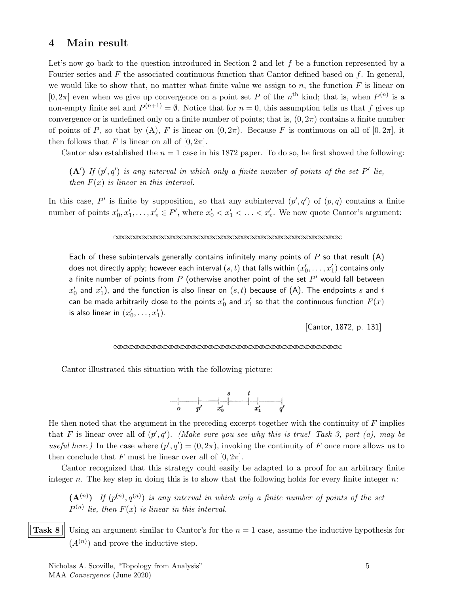### **4 Main result**

Let's now go back to the question introduced in Section 2 and let *f* be a function represented by a Fourier series and *F* the associated continuous function that Cantor defined based on *f*. In general, we would like to show that, no matter what finite value we assign to *n*, the function *F* is linear on  $[0, 2\pi]$  even when we give up convergence on a point set *P* of the *n*<sup>th</sup> kind; that is, when  $P^{(n)}$  is a non-empty finite set and  $P^{(n+1)} = \emptyset$ . Notice that for  $n = 0$ , this assumption tells us that *f* gives up convergence or is undefined only on a finite number of points; that is,  $(0, 2\pi)$  contains a finite number of points of *P*, so that by (A), *F* is linear on  $(0, 2\pi)$ . Because *F* is continuous on all of  $[0, 2\pi]$ , it then follows that *F* is linear on all of  $[0, 2\pi]$ .

Cantor also established the  $n = 1$  case in his 1872 paper. To do so, he first showed the following:

 $(A')$  If  $(p', q')$  is any interval in which only a finite number of points of the set P' lie, *then*  $F(x)$  *is linear in this interval.* 

In this case, P' is finite by supposition, so that any subinterval  $(p', q')$  of  $(p, q)$  contains a finite number of points  $x'_0, x'_1, \ldots, x'_v \in P'$ , where  $x'_0 < x'_1 < \ldots < x'_v$ . We now quote Cantor's argument:

#### *∞∞∞∞∞∞∞∞∞∞∞∞∞∞∞∞∞∞∞∞∞∞∞∞∞∞∞∞∞∞∞∞∞∞∞∞∞∞∞∞*

Each of these subintervals generally contains infinitely many points of *P* so that result (A) does not directly apply; however each interval  $(s,t)$  that falls within  $(x'_0,\ldots,x'_1)$  contains only a finite number of points from *P* (otherwise another point of the set *P ′* would fall between  $x_0'$  and  $x_1'$ ), and the function is also linear on  $(s,t)$  because of (A). The endpoints  $s$  and  $t$ can be made arbitrarily close to the points  $x_0'$  and  $x_1'$  so that the continuous function  $F(x)$ is also linear in  $(x'_0, \ldots, x'_1)$ .

[Cantor, 1872, p. 131]

#### *∞∞∞∞∞∞∞∞∞∞∞∞∞∞∞∞∞∞∞∞∞∞∞∞∞∞∞∞∞∞∞∞∞∞∞∞∞∞∞∞*

Cantor illustrated this situation with the following picture:



He then noted that the argument in the preceding excerpt together with the continuity of *F* implies that *F* is linear over all of  $(p', q')$ . *(Make sure you see why this is true! Task 3, part (a), may be useful here.*) In the case where  $(p', q') = (0, 2\pi)$ , invoking the continuity of *F* once more allows us to then conclude that *F* must be linear over all of  $[0, 2\pi]$ .

Cantor recognized that this strategy could easily be adapted to a proof for an arbitrary finite integer *n*. The key step in doing this is to show that the following holds for every finite integer *n*:

 $(A^{(n)})$  If  $(p^{(n)}, q^{(n)})$  is any interval in which only a finite number of points of the set  $P^{(n)}$  *lie, then*  $F(x)$  *is linear in this interval.* 

**Task 8** Using an argument similar to Cantor's for the  $n = 1$  case, assume the inductive hypothesis for  $(A^{(n)})$  and prove the inductive step.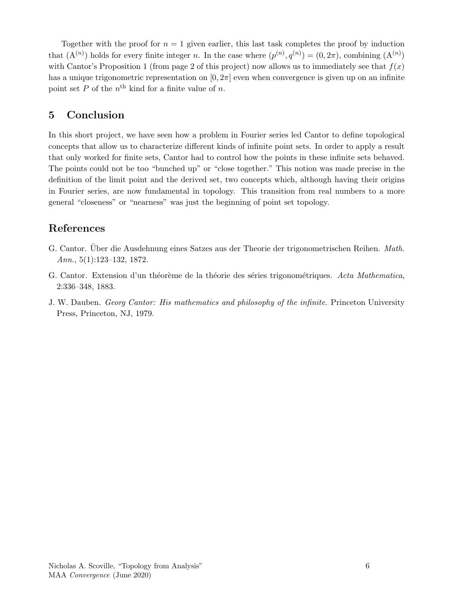Together with the proof for  $n = 1$  given earlier, this last task completes the proof by induction that  $(A^{(n)})$  holds for every finite integer *n*. In the case where  $(p^{(n)}, q^{(n)}) = (0, 2\pi)$ , combining  $(A^{(n)})$ with Cantor's Proposition 1 (from page 2 of this project) now allows us to immediately see that  $f(x)$ has a unique trigonometric representation on  $[0, 2\pi]$  even when convergence is given up on an infinite point set  $P$  of the  $n^{\text{th}}$  kind for a finite value of  $n$ .

## **5 Conclusion**

In this short project, we have seen how a problem in Fourier series led Cantor to define topological concepts that allow us to characterize different kinds of infinite point sets. In order to apply a result that only worked for finite sets, Cantor had to control how the points in these infinite sets behaved. The points could not be too "bunched up" or "close together." This notion was made precise in the definition of the limit point and the derived set, two concepts which, although having their origins in Fourier series, are now fundamental in topology. This transition from real numbers to a more general "closeness" or "nearness" was just the beginning of point set topology.

## **References**

- G. Cantor. Über die Ausdehnung eines Satzes aus der Theorie der trigonometrischen Reihen. *Math. Ann.*, 5(1):123–132, 1872.
- G. Cantor. Extension d'un théorème de la théorie des séries trigonométriques. Acta Mathematica, 2:336–348, 1883.
- J. W. Dauben. *Georg Cantor: His mathematics and philosophy of the infinite*. Princeton University Press, Princeton, NJ, 1979.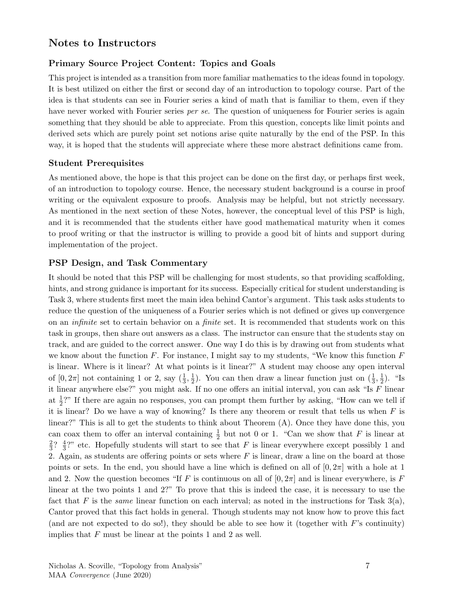## **Notes to Instructors**

### **Primary Source Project Content: Topics and Goals**

This project is intended as a transition from more familiar mathematics to the ideas found in topology. It is best utilized on either the first or second day of an introduction to topology course. Part of the idea is that students can see in Fourier series a kind of math that is familiar to them, even if they have never worked with Fourier series *per se*. The question of uniqueness for Fourier series is again something that they should be able to appreciate. From this question, concepts like limit points and derived sets which are purely point set notions arise quite naturally by the end of the PSP. In this way, it is hoped that the students will appreciate where these more abstract definitions came from.

### **Student Prerequisites**

As mentioned above, the hope is that this project can be done on the first day, or perhaps first week, of an introduction to topology course. Hence, the necessary student background is a course in proof writing or the equivalent exposure to proofs. Analysis may be helpful, but not strictly necessary. As mentioned in the next section of these Notes, however, the conceptual level of this PSP is high, and it is recommended that the students either have good mathematical maturity when it comes to proof writing or that the instructor is willing to provide a good bit of hints and support during implementation of the project.

### **PSP Design, and Task Commentary**

It should be noted that this PSP will be challenging for most students, so that providing scaffolding, hints, and strong guidance is important for its success. Especially critical for student understanding is Task 3, where students first meet the main idea behind Cantor's argument. This task asks students to reduce the question of the uniqueness of a Fourier series which is not defined or gives up convergence on an *infinite* set to certain behavior on a *finite* set. It is recommended that students work on this task in groups, then share out answers as a class. The instructor can ensure that the students stay on track, and are guided to the correct answer. One way I do this is by drawing out from students what we know about the function *F*. For instance, I might say to my students, "We know this function *F* is linear. Where is it linear? At what points is it linear?" A student may choose any open interval of  $[0, 2\pi]$  not containing 1 or 2, say  $(\frac{1}{3}, \frac{1}{2})$  $\frac{1}{2}$ ). You can then draw a linear function just on  $(\frac{1}{3}, \frac{1}{2})$  $(\frac{1}{2})$ . "Is it linear anywhere else?" you might ask. If no one offers an initial interval, you can ask "Is *F* linear at  $\frac{1}{2}$ ?" If there are again no responses, you can prompt them further by asking, "How can we tell if it is linear? Do we have a way of knowing? Is there any theorem or result that tells us when *F* is linear?" This is all to get the students to think about Theorem (A). Once they have done this, you can coax them to offer an interval containing  $\frac{1}{2}$  but not 0 or 1. "Can we show that *F* is linear at 2  $\frac{2}{3}$ ?  $\frac{4}{3}$  $\frac{4}{3}$ ?" etc. Hopefully students will start to see that *F* is linear everywhere except possibly 1 and 2. Again, as students are offering points or sets where *F* is linear, draw a line on the board at those points or sets. In the end, you should have a line which is defined on all of  $[0, 2\pi]$  with a hole at 1 and 2. Now the question becomes "If *F* is continuous on all of  $[0, 2\pi]$  and is linear everywhere, is *F* linear at the two points 1 and 2?" To prove that this is indeed the case, it is necessary to use the fact that *F* is the *same* linear function on each interval; as noted in the instructions for Task 3(a), Cantor proved that this fact holds in general. Though students may not know how to prove this fact (and are not expected to do so!), they should be able to see how it (together with *F*'s continuity) implies that *F* must be linear at the points 1 and 2 as well.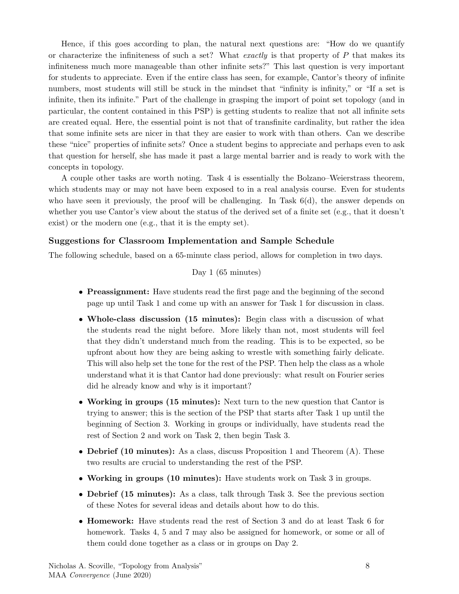Hence, if this goes according to plan, the natural next questions are: "How do we quantify or characterize the infiniteness of such a set? What *exactly* is that property of *P* that makes its infiniteness much more manageable than other infinite sets?" This last question is very important for students to appreciate. Even if the entire class has seen, for example, Cantor's theory of infinite numbers, most students will still be stuck in the mindset that "infinity is infinity," or "If a set is infinite, then its infinite." Part of the challenge in grasping the import of point set topology (and in particular, the content contained in this PSP) is getting students to realize that not all infinite sets are created equal. Here, the essential point is not that of transfinite cardinality, but rather the idea that some infinite sets are nicer in that they are easier to work with than others. Can we describe these "nice" properties of infinite sets? Once a student begins to appreciate and perhaps even to ask that question for herself, she has made it past a large mental barrier and is ready to work with the concepts in topology.

A couple other tasks are worth noting. Task 4 is essentially the Bolzano–Weierstrass theorem, which students may or may not have been exposed to in a real analysis course. Even for students who have seen it previously, the proof will be challenging. In Task 6(d), the answer depends on whether you use Cantor's view about the status of the derived set of a finite set (e.g., that it doesn't exist) or the modern one (e.g., that it is the empty set).

### **Suggestions for Classroom Implementation and Sample Schedule**

The following schedule, based on a 65-minute class period, allows for completion in two days.

### Day 1 (65 minutes)

- *•* **Preassignment:** Have students read the first page and the beginning of the second page up until Task 1 and come up with an answer for Task 1 for discussion in class.
- **Whole-class discussion (15 minutes):** Begin class with a discussion of what the students read the night before. More likely than not, most students will feel that they didn't understand much from the reading. This is to be expected, so be upfront about how they are being asking to wrestle with something fairly delicate. This will also help set the tone for the rest of the PSP. Then help the class as a whole understand what it is that Cantor had done previously: what result on Fourier series did he already know and why is it important?
- *•* **Working in groups (15 minutes):** Next turn to the new question that Cantor is trying to answer; this is the section of the PSP that starts after Task 1 up until the beginning of Section 3. Working in groups or individually, have students read the rest of Section 2 and work on Task 2, then begin Task 3.
- **Debrief (10 minutes):** As a class, discuss Proposition 1 and Theorem (A). These two results are crucial to understanding the rest of the PSP.
- *•* **Working in groups (10 minutes):** Have students work on Task 3 in groups.
- **Debrief (15 minutes):** As a class, talk through Task 3. See the previous section of these Notes for several ideas and details about how to do this.
- *•* **Homework:** Have students read the rest of Section 3 and do at least Task 6 for homework. Tasks 4, 5 and 7 may also be assigned for homework, or some or all of them could done together as a class or in groups on Day 2.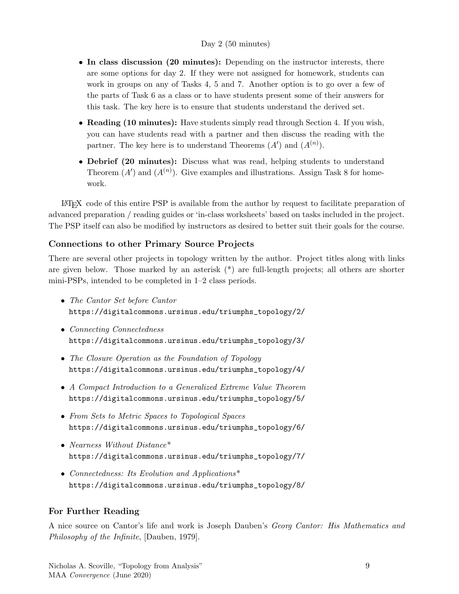### Day 2 (50 minutes)

- In class discussion (20 minutes): Depending on the instructor interests, there are some options for day 2. If they were not assigned for homework, students can work in groups on any of Tasks 4, 5 and 7. Another option is to go over a few of the parts of Task 6 as a class or to have students present some of their answers for this task. The key here is to ensure that students understand the derived set.
- *•* **Reading (10 minutes):** Have students simply read through Section 4. If you wish, you can have students read with a partner and then discuss the reading with the partner. The key here is to understand Theorems  $(A')$  and  $(A^{(n)})$ .
- *•* **Debrief (20 minutes):** Discuss what was read, helping students to understand Theorem  $(A')$  and  $(A^{(n)})$ . Give examples and illustrations. Assign Task 8 for homework.

LATEX code of this entire PSP is available from the author by request to facilitate preparation of advanced preparation / reading guides or 'in-class worksheets' based on tasks included in the project. The PSP itself can also be modified by instructors as desired to better suit their goals for the course.

## **Connections to other Primary Source Projects**

There are several other projects in topology written by the author. Project titles along with links are given below. Those marked by an asterisk (\*) are full-length projects; all others are shorter mini-PSPs, intended to be completed in 1–2 class periods.

- *• The Cantor Set before Cantor* https://digitalcommons.ursinus.edu/triumphs\_topology/2/
- *• Connecting Connectedness* https://digitalcommons.ursinus.edu/triumphs\_topology/3/
- *• The Closure Operation as the Foundation of Topology* https://digitalcommons.ursinus.edu/triumphs\_topology/4/
- *• A Compact Introduction to a Generalized Extreme Value Theorem* https://digitalcommons.ursinus.edu/triumphs\_topology/5/
- *• From Sets to Metric Spaces to Topological Spaces* https://digitalcommons.ursinus.edu/triumphs\_topology/6/
- *• Nearness Without Distance*\* https://digitalcommons.ursinus.edu/triumphs\_topology/7/
- *• Connectedness: Its Evolution and Applications*\* https://digitalcommons.ursinus.edu/triumphs\_topology/8/

## **For Further Reading**

A nice source on Cantor's life and work is Joseph Dauben's *Georg Cantor: His Mathematics and Philosophy of the Infinite*, [Dauben, 1979].